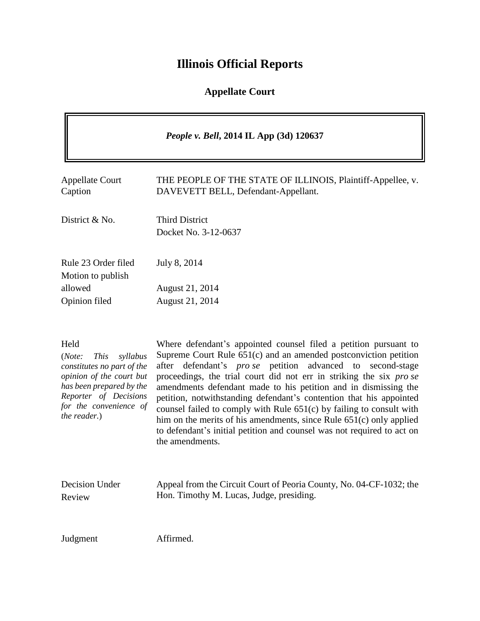## **Illinois Official Reports**

### **Appellate Court**

|                                                                                                                                                                                                    | People v. Bell, 2014 IL App (3d) 120637                                                                                                                                                                                                                                                                                                                                                                                                                                                                                                                                                                                                                                        |
|----------------------------------------------------------------------------------------------------------------------------------------------------------------------------------------------------|--------------------------------------------------------------------------------------------------------------------------------------------------------------------------------------------------------------------------------------------------------------------------------------------------------------------------------------------------------------------------------------------------------------------------------------------------------------------------------------------------------------------------------------------------------------------------------------------------------------------------------------------------------------------------------|
| <b>Appellate Court</b><br>Caption                                                                                                                                                                  | THE PEOPLE OF THE STATE OF ILLINOIS, Plaintiff-Appellee, v.<br>DAVEVETT BELL, Defendant-Appellant.                                                                                                                                                                                                                                                                                                                                                                                                                                                                                                                                                                             |
| District & No.                                                                                                                                                                                     | <b>Third District</b><br>Docket No. 3-12-0637                                                                                                                                                                                                                                                                                                                                                                                                                                                                                                                                                                                                                                  |
| Rule 23 Order filed<br>Motion to publish                                                                                                                                                           | July 8, 2014                                                                                                                                                                                                                                                                                                                                                                                                                                                                                                                                                                                                                                                                   |
| allowed<br>Opinion filed                                                                                                                                                                           | August 21, 2014<br>August 21, 2014                                                                                                                                                                                                                                                                                                                                                                                                                                                                                                                                                                                                                                             |
| Held<br>(Note:<br><b>This</b><br>syllabus<br>constitutes no part of the<br>opinion of the court but<br>has been prepared by the<br>Reporter of Decisions<br>for the convenience of<br>the reader.) | Where defendant's appointed counsel filed a petition pursuant to<br>Supreme Court Rule 651(c) and an amended postconviction petition<br>defendant's <i>pro se</i> petition<br>advanced to second-stage<br>after<br>proceedings, the trial court did not err in striking the six pro se<br>amendments defendant made to his petition and in dismissing the<br>petition, notwithstanding defendant's contention that his appointed<br>counsel failed to comply with Rule $651(c)$ by failing to consult with<br>him on the merits of his amendments, since Rule 651(c) only applied<br>to defendant's initial petition and counsel was not required to act on<br>the amendments. |
| Decision Under                                                                                                                                                                                     | Appeal from the Circuit Court of Peoria County, No. 04-CF-1032; the                                                                                                                                                                                                                                                                                                                                                                                                                                                                                                                                                                                                            |

Hon. Timothy M. Lucas, Judge, presiding.

Review

Judgment Affirmed.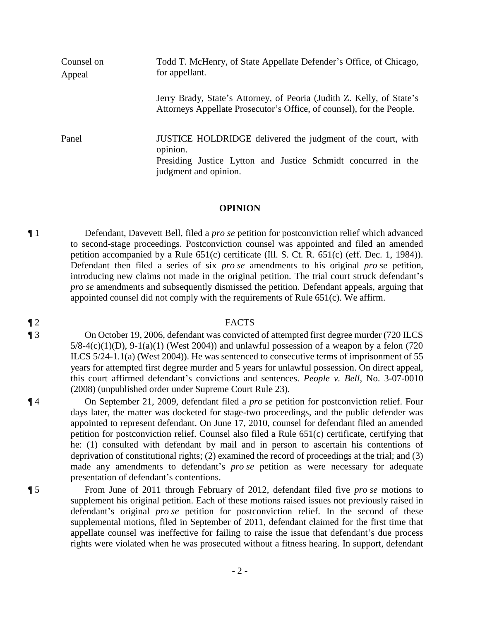Counsel on Appeal Todd T. McHenry, of State Appellate Defender's Office, of Chicago, for appellant. Jerry Brady, State's Attorney, of Peoria (Judith Z. Kelly, of State's Attorneys Appellate Prosecutor's Office, of counsel), for the People. Panel JUSTICE HOLDRIDGE delivered the judgment of the court, with opinion. Presiding Justice Lytton and Justice Schmidt concurred in the judgment and opinion.

#### **OPINION**

¶ 1 Defendant, Davevett Bell, filed a *pro se* petition for postconviction relief which advanced to second-stage proceedings. Postconviction counsel was appointed and filed an amended petition accompanied by a Rule 651(c) certificate (Ill. S. Ct. R. 651(c) (eff. Dec. 1, 1984)). Defendant then filed a series of six *pro se* amendments to his original *pro se* petition, introducing new claims not made in the original petition. The trial court struck defendant's *pro se* amendments and subsequently dismissed the petition. Defendant appeals, arguing that appointed counsel did not comply with the requirements of Rule  $651(c)$ . We affirm.

#### ¶ 2 FACTS

¶ 3 On October 19, 2006, defendant was convicted of attempted first degree murder (720 ILCS  $5/8-4(c)(1)(D)$ ,  $9-1(a)(1)$  (West 2004)) and unlawful possession of a weapon by a felon (720 ILCS 5/24-1.1(a) (West 2004)). He was sentenced to consecutive terms of imprisonment of 55 years for attempted first degree murder and 5 years for unlawful possession. On direct appeal, this court affirmed defendant's convictions and sentences. *People v. Bell*, No. 3-07-0010 (2008) (unpublished order under Supreme Court Rule 23).

¶ 4 On September 21, 2009, defendant filed a *pro se* petition for postconviction relief. Four days later, the matter was docketed for stage-two proceedings, and the public defender was appointed to represent defendant. On June 17, 2010, counsel for defendant filed an amended petition for postconviction relief. Counsel also filed a Rule 651(c) certificate, certifying that he: (1) consulted with defendant by mail and in person to ascertain his contentions of deprivation of constitutional rights; (2) examined the record of proceedings at the trial; and (3) made any amendments to defendant's *pro se* petition as were necessary for adequate presentation of defendant's contentions.

¶ 5 From June of 2011 through February of 2012, defendant filed five *pro se* motions to supplement his original petition. Each of these motions raised issues not previously raised in defendant's original *pro se* petition for postconviction relief. In the second of these supplemental motions, filed in September of 2011, defendant claimed for the first time that appellate counsel was ineffective for failing to raise the issue that defendant's due process rights were violated when he was prosecuted without a fitness hearing. In support, defendant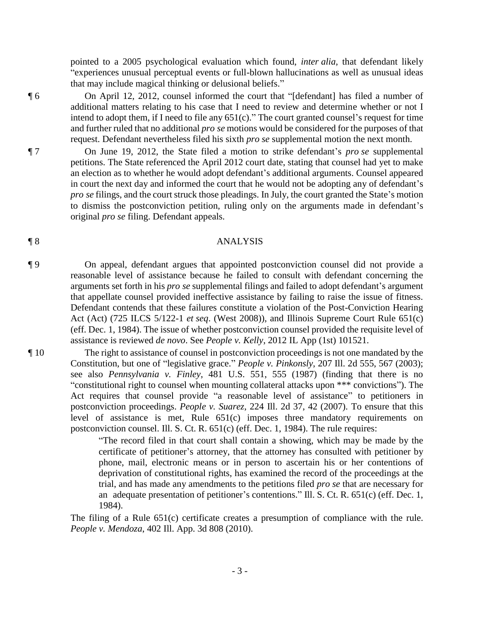pointed to a 2005 psychological evaluation which found, *inter alia*, that defendant likely "experiences unusual perceptual events or full-blown hallucinations as well as unusual ideas that may include magical thinking or delusional beliefs."

¶ 6 On April 12, 2012, counsel informed the court that "[defendant] has filed a number of additional matters relating to his case that I need to review and determine whether or not I intend to adopt them, if I need to file any 651(c)." The court granted counsel's request for time and further ruled that no additional *pro se* motions would be considered for the purposes of that request. Defendant nevertheless filed his sixth *pro se* supplemental motion the next month.

¶ 7 On June 19, 2012, the State filed a motion to strike defendant's *pro se* supplemental petitions. The State referenced the April 2012 court date, stating that counsel had yet to make an election as to whether he would adopt defendant's additional arguments. Counsel appeared in court the next day and informed the court that he would not be adopting any of defendant's *pro se* filings, and the court struck those pleadings. In July, the court granted the State's motion to dismiss the postconviction petition, ruling only on the arguments made in defendant's original *pro se* filing. Defendant appeals.

#### ¶ 8 ANALYSIS

¶ 9 On appeal, defendant argues that appointed postconviction counsel did not provide a reasonable level of assistance because he failed to consult with defendant concerning the arguments set forth in his *pro se* supplemental filings and failed to adopt defendant's argument that appellate counsel provided ineffective assistance by failing to raise the issue of fitness. Defendant contends that these failures constitute a violation of the Post-Conviction Hearing Act (Act) (725 ILCS 5/122-1 *et seq*. (West 2008)), and Illinois Supreme Court Rule 651(c) (eff. Dec. 1, 1984). The issue of whether postconviction counsel provided the requisite level of assistance is reviewed *de novo*. See *People v. Kelly*, 2012 IL App (1st) 101521.

¶ 10 The right to assistance of counsel in postconviction proceedings is not one mandated by the Constitution, but one of "legislative grace." *People v. Pinkonsly*, 207 Ill. 2d 555, 567 (2003); see also *Pennsylvania v. Finley*, 481 U.S. 551, 555 (1987) (finding that there is no "constitutional right to counsel when mounting collateral attacks upon \*\*\* convictions"). The Act requires that counsel provide "a reasonable level of assistance" to petitioners in postconviction proceedings. *People v. Suarez*, 224 Ill. 2d 37, 42 (2007). To ensure that this level of assistance is met, Rule 651(c) imposes three mandatory requirements on postconviction counsel. Ill. S. Ct. R. 651(c) (eff. Dec. 1, 1984). The rule requires:

> "The record filed in that court shall contain a showing, which may be made by the certificate of petitioner's attorney, that the attorney has consulted with petitioner by phone, mail, electronic means or in person to ascertain his or her contentions of deprivation of constitutional rights, has examined the record of the proceedings at the trial, and has made any amendments to the petitions filed *pro se* that are necessary for an adequate presentation of petitioner's contentions." Ill. S. Ct. R. 651(c) (eff. Dec. 1, 1984).

The filing of a Rule 651(c) certificate creates a presumption of compliance with the rule. *People v. Mendoza*, 402 Ill. App. 3d 808 (2010).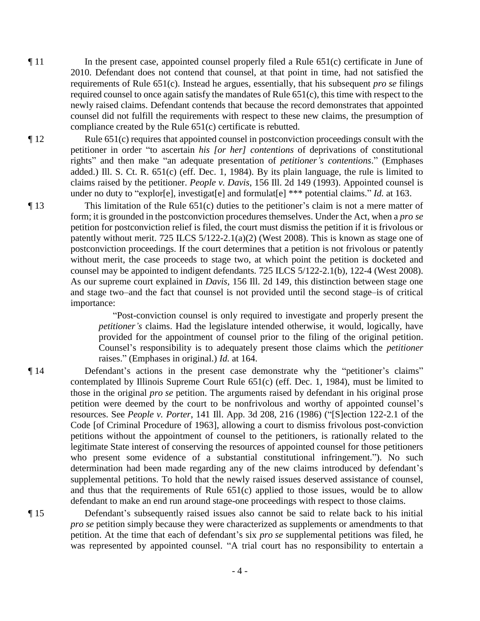$\P$ 11 In the present case, appointed counsel properly filed a Rule 651(c) certificate in June of 2010. Defendant does not contend that counsel, at that point in time, had not satisfied the requirements of Rule 651(c). Instead he argues, essentially, that his subsequent *pro se* filings required counsel to once again satisfy the mandates of Rule 651(c), this time with respect to the newly raised claims. Defendant contends that because the record demonstrates that appointed counsel did not fulfill the requirements with respect to these new claims, the presumption of compliance created by the Rule 651(c) certificate is rebutted.

¶ 12 Rule 651(c) requires that appointed counsel in postconviction proceedings consult with the petitioner in order "to ascertain *his [or her] contentions* of deprivations of constitutional rights" and then make "an adequate presentation of *petitioner's contentions*." (Emphases added.) Ill. S. Ct. R. 651(c) (eff. Dec. 1, 1984). By its plain language, the rule is limited to claims raised by the petitioner. *People v. Davis*, 156 Ill. 2d 149 (1993). Appointed counsel is under no duty to "explor[e], investigat[e] and formulat[e] \*\*\* potential claims." *Id.* at 163.

¶ 13 This limitation of the Rule 651(c) duties to the petitioner's claim is not a mere matter of form; it is grounded in the postconviction procedures themselves. Under the Act, when a *pro se* petition for postconviction relief is filed, the court must dismiss the petition if it is frivolous or patently without merit. 725 ILCS 5/122-2.1(a)(2) (West 2008). This is known as stage one of postconviction proceedings. If the court determines that a petition is not frivolous or patently without merit, the case proceeds to stage two, at which point the petition is docketed and counsel may be appointed to indigent defendants. 725 ILCS 5/122-2.1(b), 122-4 (West 2008). As our supreme court explained in *Davis*, 156 Ill. 2d 149, this distinction between stage one and stage two–and the fact that counsel is not provided until the second stage–is of critical importance:

> "Post-conviction counsel is only required to investigate and properly present the *petitioner's* claims. Had the legislature intended otherwise, it would, logically, have provided for the appointment of counsel prior to the filing of the original petition. Counsel's responsibility is to adequately present those claims which the *petitioner* raises." (Emphases in original.) *Id.* at 164.

¶ 14 Defendant's actions in the present case demonstrate why the "petitioner's claims" contemplated by Illinois Supreme Court Rule 651(c) (eff. Dec. 1, 1984), must be limited to those in the original *pro se* petition. The arguments raised by defendant in his original prose petition were deemed by the court to be nonfrivolous and worthy of appointed counsel's resources. See *People v. Porter*, 141 Ill. App. 3d 208, 216 (1986) ("[S]ection 122-2.1 of the Code [of Criminal Procedure of 1963], allowing a court to dismiss frivolous post-conviction petitions without the appointment of counsel to the petitioners, is rationally related to the legitimate State interest of conserving the resources of appointed counsel for those petitioners who present some evidence of a substantial constitutional infringement."). No such determination had been made regarding any of the new claims introduced by defendant's supplemental petitions. To hold that the newly raised issues deserved assistance of counsel, and thus that the requirements of Rule 651(c) applied to those issues, would be to allow defendant to make an end run around stage-one proceedings with respect to those claims.

¶ 15 Defendant's subsequently raised issues also cannot be said to relate back to his initial *pro se* petition simply because they were characterized as supplements or amendments to that petition. At the time that each of defendant's six *pro se* supplemental petitions was filed, he was represented by appointed counsel. "A trial court has no responsibility to entertain a